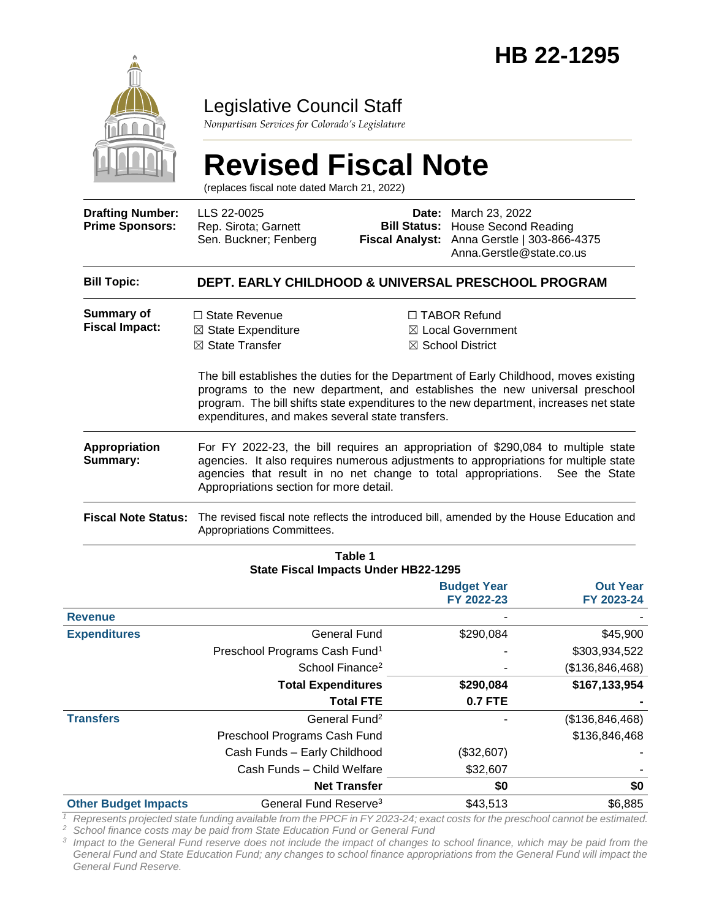

## Legislative Council Staff

*Nonpartisan Services for Colorado's Legislature*

# **Revised Fiscal Note**

(replaces fiscal note dated March 21, 2022)

| <b>Drafting Number:</b><br><b>Prime Sponsors:</b>                                                                                                                                                                                                                                                                  | LLS 22-0025<br>Rep. Sirota; Garnett<br>Sen. Buckner; Fenberg                                                                                                                                                                                                                                         |                                                                                    | <b>Date:</b> March 23, 2022<br><b>Bill Status: House Second Reading</b><br>Fiscal Analyst: Anna Gerstle   303-866-4375<br>Anna.Gerstle@state.co.us |  |
|--------------------------------------------------------------------------------------------------------------------------------------------------------------------------------------------------------------------------------------------------------------------------------------------------------------------|------------------------------------------------------------------------------------------------------------------------------------------------------------------------------------------------------------------------------------------------------------------------------------------------------|------------------------------------------------------------------------------------|----------------------------------------------------------------------------------------------------------------------------------------------------|--|
| <b>Bill Topic:</b>                                                                                                                                                                                                                                                                                                 |                                                                                                                                                                                                                                                                                                      |                                                                                    | DEPT. EARLY CHILDHOOD & UNIVERSAL PRESCHOOL PROGRAM                                                                                                |  |
| Summary of<br><b>Fiscal Impact:</b>                                                                                                                                                                                                                                                                                | $\Box$ State Revenue<br>$\boxtimes$ State Expenditure<br>$\boxtimes$ State Transfer                                                                                                                                                                                                                  | $\Box$ TABOR Refund<br>$\boxtimes$ Local Government<br>$\boxtimes$ School District |                                                                                                                                                    |  |
| The bill establishes the duties for the Department of Early Childhood, moves existing<br>programs to the new department, and establishes the new universal preschool<br>program. The bill shifts state expenditures to the new department, increases net state<br>expenditures, and makes several state transfers. |                                                                                                                                                                                                                                                                                                      |                                                                                    |                                                                                                                                                    |  |
| Appropriation<br>Summary:                                                                                                                                                                                                                                                                                          | For FY 2022-23, the bill requires an appropriation of \$290,084 to multiple state<br>agencies. It also requires numerous adjustments to appropriations for multiple state<br>agencies that result in no net change to total appropriations. See the State<br>Appropriations section for more detail. |                                                                                    |                                                                                                                                                    |  |
| <b>Fiscal Note Status:</b>                                                                                                                                                                                                                                                                                         | Appropriations Committees.                                                                                                                                                                                                                                                                           |                                                                                    | The revised fiscal note reflects the introduced bill, amended by the House Education and                                                           |  |
|                                                                                                                                                                                                                                                                                                                    |                                                                                                                                                                                                                                                                                                      | -                                                                                  |                                                                                                                                                    |  |

| Table 1                     |                                             |                    |                 |  |
|-----------------------------|---------------------------------------------|--------------------|-----------------|--|
|                             | <b>State Fiscal Impacts Under HB22-1295</b> |                    |                 |  |
|                             |                                             | <b>Budget Year</b> | <b>Out Year</b> |  |
|                             |                                             | FY 2022-23         | FY 2023-24      |  |
| <b>Revenue</b>              |                                             |                    |                 |  |
| <b>Expenditures</b>         | <b>General Fund</b>                         | \$290,084          | \$45,900        |  |
|                             | Preschool Programs Cash Fund <sup>1</sup>   |                    | \$303,934,522   |  |
|                             | School Finance <sup>2</sup>                 |                    | (\$136,846,468) |  |
|                             | <b>Total Expenditures</b>                   | \$290,084          | \$167,133,954   |  |
|                             | <b>Total FTE</b>                            | 0.7 FTE            |                 |  |
| <b>Transfers</b>            | General Fund <sup>2</sup>                   |                    | (\$136,846,468) |  |
|                             | Preschool Programs Cash Fund                |                    | \$136,846,468   |  |
|                             | Cash Funds - Early Childhood                | (\$32,607)         |                 |  |
|                             | Cash Funds - Child Welfare                  | \$32,607           |                 |  |
|                             | <b>Net Transfer</b>                         | \$0                | \$0             |  |
| <b>Other Budget Impacts</b> | General Fund Reserve <sup>3</sup>           | \$43,513           | \$6,885         |  |

*<sup>1</sup> Represents projected state funding available from the PPCF in FY 2023-24; exact costs for the preschool cannot be estimated.* 

<sup>2</sup> School finance costs may be paid from State Education Fund or General Fund<br><sup>3</sup> Impact to the General Fund reserve does not include the impact of changes to school finance, which may be paid from the General Fund and State Education Fund; any changes to school finance appropriations from the General Fund will impact the *General Fund Reserve.*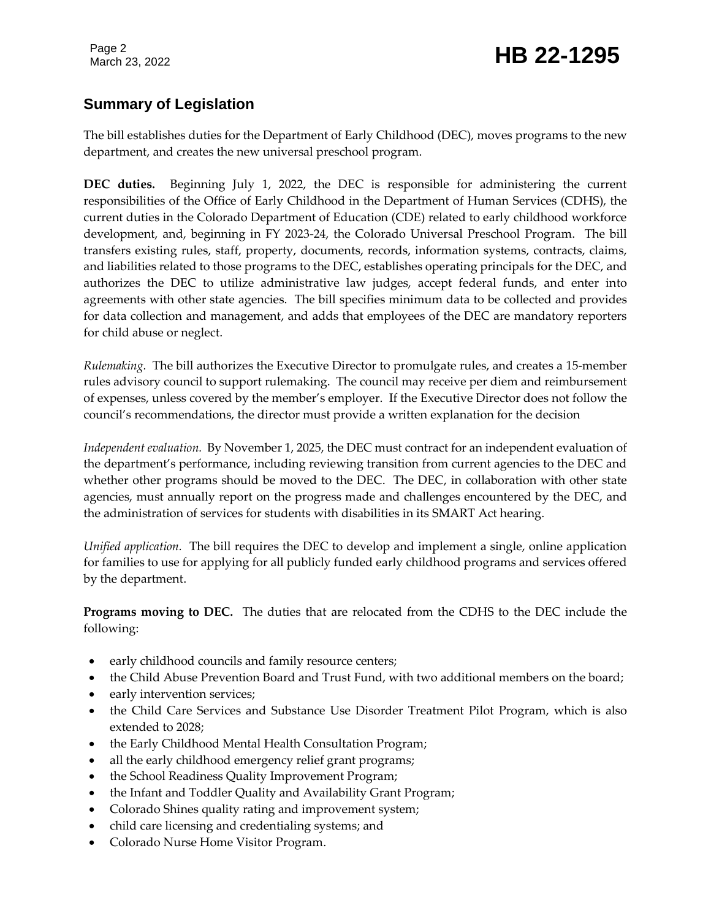Page 2

# March 23, 2022 **HB 22-1295**

### **Summary of Legislation**

The bill establishes duties for the Department of Early Childhood (DEC), moves programs to the new department, and creates the new universal preschool program.

**DEC duties.** Beginning July 1, 2022, the DEC is responsible for administering the current responsibilities of the Office of Early Childhood in the Department of Human Services (CDHS), the current duties in the Colorado Department of Education (CDE) related to early childhood workforce development, and, beginning in FY 2023-24, the Colorado Universal Preschool Program. The bill transfers existing rules, staff, property, documents, records, information systems, contracts, claims, and liabilities related to those programs to the DEC, establishes operating principals for the DEC, and authorizes the DEC to utilize administrative law judges, accept federal funds, and enter into agreements with other state agencies. The bill specifies minimum data to be collected and provides for data collection and management, and adds that employees of the DEC are mandatory reporters for child abuse or neglect.

*Rulemaking.* The bill authorizes the Executive Director to promulgate rules, and creates a 15-member rules advisory council to support rulemaking. The council may receive per diem and reimbursement of expenses, unless covered by the member's employer. If the Executive Director does not follow the council's recommendations, the director must provide a written explanation for the decision

*Independent evaluation.* By November 1, 2025, the DEC must contract for an independent evaluation of the department's performance, including reviewing transition from current agencies to the DEC and whether other programs should be moved to the DEC. The DEC, in collaboration with other state agencies, must annually report on the progress made and challenges encountered by the DEC, and the administration of services for students with disabilities in its SMART Act hearing.

*Unified application.* The bill requires the DEC to develop and implement a single, online application for families to use for applying for all publicly funded early childhood programs and services offered by the department.

**Programs moving to DEC.** The duties that are relocated from the CDHS to the DEC include the following:

- early childhood councils and family resource centers;
- the Child Abuse Prevention Board and Trust Fund, with two additional members on the board;
- early intervention services;
- the Child Care Services and Substance Use Disorder Treatment Pilot Program, which is also extended to 2028;
- the Early Childhood Mental Health Consultation Program;
- all the early childhood emergency relief grant programs;
- the School Readiness Quality Improvement Program;
- the Infant and Toddler Quality and Availability Grant Program;
- Colorado Shines quality rating and improvement system;
- child care licensing and credentialing systems; and
- Colorado Nurse Home Visitor Program.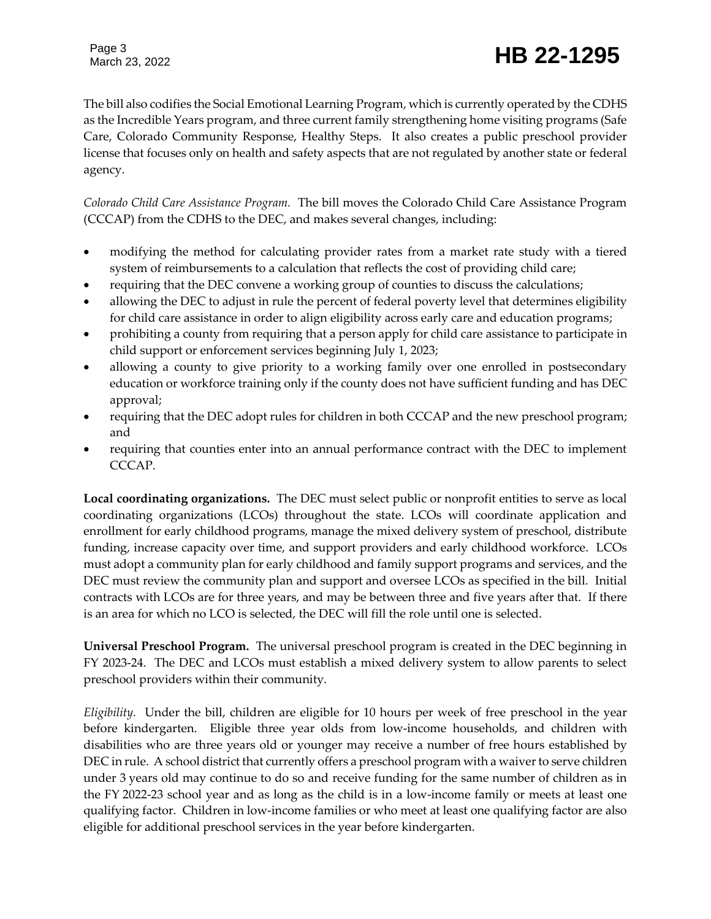# March 23, 2022 **HB 22-1295**

The bill also codifies the Social Emotional Learning Program, which is currently operated by the CDHS as the Incredible Years program, and three current family strengthening home visiting programs (Safe Care, Colorado Community Response, Healthy Steps. It also creates a public preschool provider license that focuses only on health and safety aspects that are not regulated by another state or federal agency.

*Colorado Child Care Assistance Program.* The bill moves the Colorado Child Care Assistance Program (CCCAP) from the CDHS to the DEC, and makes several changes, including:

- modifying the method for calculating provider rates from a market rate study with a tiered system of reimbursements to a calculation that reflects the cost of providing child care;
- requiring that the DEC convene a working group of counties to discuss the calculations;
- allowing the DEC to adjust in rule the percent of federal poverty level that determines eligibility for child care assistance in order to align eligibility across early care and education programs;
- prohibiting a county from requiring that a person apply for child care assistance to participate in child support or enforcement services beginning July 1, 2023;
- allowing a county to give priority to a working family over one enrolled in postsecondary education or workforce training only if the county does not have sufficient funding and has DEC approval;
- requiring that the DEC adopt rules for children in both CCCAP and the new preschool program; and
- requiring that counties enter into an annual performance contract with the DEC to implement CCCAP.

**Local coordinating organizations.** The DEC must select public or nonprofit entities to serve as local coordinating organizations (LCOs) throughout the state. LCOs will coordinate application and enrollment for early childhood programs, manage the mixed delivery system of preschool, distribute funding, increase capacity over time, and support providers and early childhood workforce. LCOs must adopt a community plan for early childhood and family support programs and services, and the DEC must review the community plan and support and oversee LCOs as specified in the bill. Initial contracts with LCOs are for three years, and may be between three and five years after that. If there is an area for which no LCO is selected, the DEC will fill the role until one is selected.

**Universal Preschool Program.** The universal preschool program is created in the DEC beginning in FY 2023-24. The DEC and LCOs must establish a mixed delivery system to allow parents to select preschool providers within their community.

*Eligibility.* Under the bill, children are eligible for 10 hours per week of free preschool in the year before kindergarten. Eligible three year olds from low-income households, and children with disabilities who are three years old or younger may receive a number of free hours established by DEC in rule. A school district that currently offers a preschool program with a waiver to serve children under 3 years old may continue to do so and receive funding for the same number of children as in the FY 2022-23 school year and as long as the child is in a low-income family or meets at least one qualifying factor. Children in low-income families or who meet at least one qualifying factor are also eligible for additional preschool services in the year before kindergarten.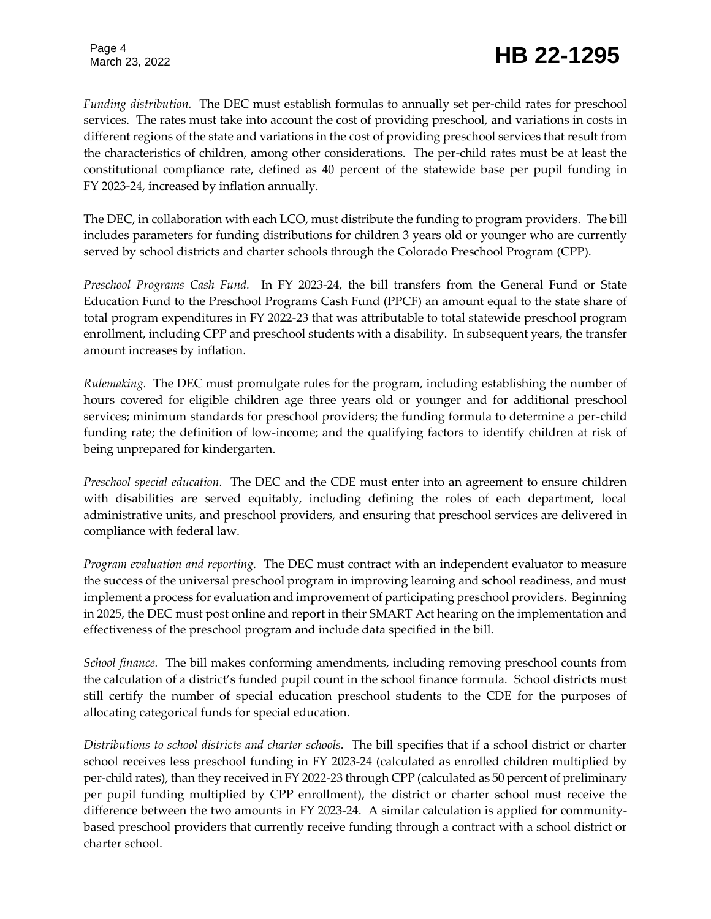# Page 4<br>March 23, 2022 **HB 22-1295**

*Funding distribution.* The DEC must establish formulas to annually set per-child rates for preschool services. The rates must take into account the cost of providing preschool, and variations in costs in different regions of the state and variations in the cost of providing preschool services that result from the characteristics of children, among other considerations. The per-child rates must be at least the constitutional compliance rate, defined as 40 percent of the statewide base per pupil funding in FY 2023-24, increased by inflation annually.

The DEC, in collaboration with each LCO, must distribute the funding to program providers. The bill includes parameters for funding distributions for children 3 years old or younger who are currently served by school districts and charter schools through the Colorado Preschool Program (CPP).

*Preschool Programs Cash Fund.* In FY 2023-24, the bill transfers from the General Fund or State Education Fund to the Preschool Programs Cash Fund (PPCF) an amount equal to the state share of total program expenditures in FY 2022-23 that was attributable to total statewide preschool program enrollment, including CPP and preschool students with a disability. In subsequent years, the transfer amount increases by inflation.

*Rulemaking.* The DEC must promulgate rules for the program, including establishing the number of hours covered for eligible children age three years old or younger and for additional preschool services; minimum standards for preschool providers; the funding formula to determine a per-child funding rate; the definition of low-income; and the qualifying factors to identify children at risk of being unprepared for kindergarten.

*Preschool special education.* The DEC and the CDE must enter into an agreement to ensure children with disabilities are served equitably, including defining the roles of each department, local administrative units, and preschool providers, and ensuring that preschool services are delivered in compliance with federal law.

*Program evaluation and reporting.* The DEC must contract with an independent evaluator to measure the success of the universal preschool program in improving learning and school readiness, and must implement a process for evaluation and improvement of participating preschool providers. Beginning in 2025, the DEC must post online and report in their SMART Act hearing on the implementation and effectiveness of the preschool program and include data specified in the bill.

*School finance.* The bill makes conforming amendments, including removing preschool counts from the calculation of a district's funded pupil count in the school finance formula. School districts must still certify the number of special education preschool students to the CDE for the purposes of allocating categorical funds for special education.

*Distributions to school districts and charter schools.* The bill specifies that if a school district or charter school receives less preschool funding in FY 2023-24 (calculated as enrolled children multiplied by per-child rates), than they received in FY 2022-23 through CPP (calculated as 50 percent of preliminary per pupil funding multiplied by CPP enrollment), the district or charter school must receive the difference between the two amounts in FY 2023-24. A similar calculation is applied for communitybased preschool providers that currently receive funding through a contract with a school district or charter school.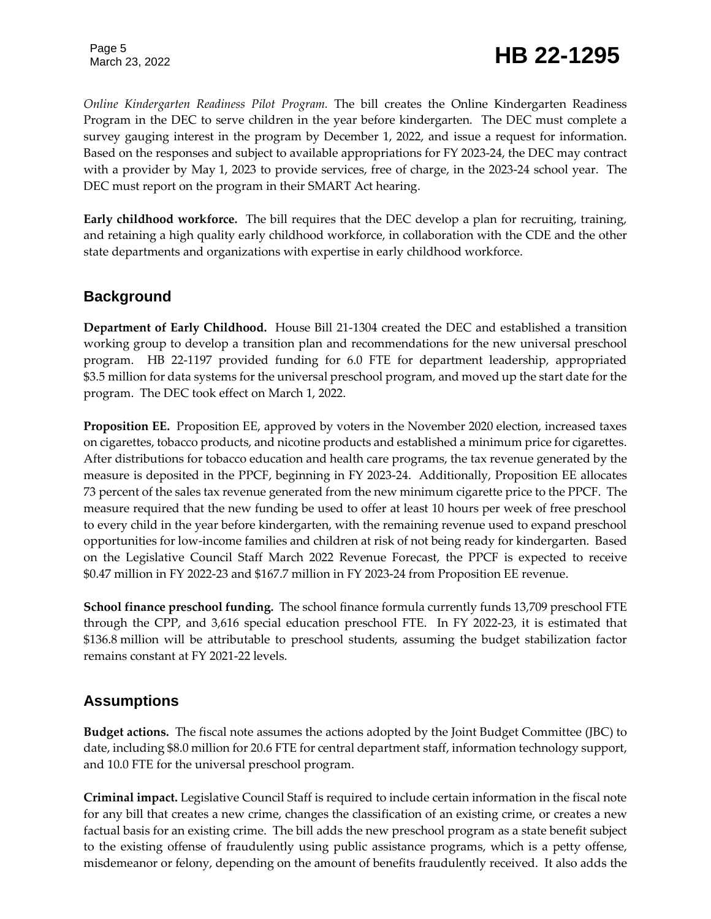*Online Kindergarten Readiness Pilot Program.* The bill creates the Online Kindergarten Readiness Program in the DEC to serve children in the year before kindergarten. The DEC must complete a survey gauging interest in the program by December 1, 2022, and issue a request for information. Based on the responses and subject to available appropriations for FY 2023-24, the DEC may contract with a provider by May 1, 2023 to provide services, free of charge, in the 2023-24 school year. The DEC must report on the program in their SMART Act hearing.

**Early childhood workforce.** The bill requires that the DEC develop a plan for recruiting, training, and retaining a high quality early childhood workforce, in collaboration with the CDE and the other state departments and organizations with expertise in early childhood workforce.

### **Background**

**Department of Early Childhood.** House Bill 21-1304 created the DEC and established a transition working group to develop a transition plan and recommendations for the new universal preschool program. HB 22-1197 provided funding for 6.0 FTE for department leadership, appropriated \$3.5 million for data systems for the universal preschool program, and moved up the start date for the program. The DEC took effect on March 1, 2022.

**Proposition EE.** Proposition EE, approved by voters in the November 2020 election, increased taxes on cigarettes, tobacco products, and nicotine products and established a minimum price for cigarettes. After distributions for tobacco education and health care programs, the tax revenue generated by the measure is deposited in the PPCF, beginning in FY 2023-24. Additionally, Proposition EE allocates 73 percent of the sales tax revenue generated from the new minimum cigarette price to the PPCF. The measure required that the new funding be used to offer at least 10 hours per week of free preschool to every child in the year before kindergarten, with the remaining revenue used to expand preschool opportunities for low-income families and children at risk of not being ready for kindergarten. Based on the Legislative Council Staff March 2022 Revenue Forecast, the PPCF is expected to receive \$0.47 million in FY 2022-23 and \$167.7 million in FY 2023-24 from Proposition EE revenue.

**School finance preschool funding.** The school finance formula currently funds 13,709 preschool FTE through the CPP, and 3,616 special education preschool FTE. In FY 2022-23, it is estimated that \$136.8 million will be attributable to preschool students, assuming the budget stabilization factor remains constant at FY 2021-22 levels.

### **Assumptions**

**Budget actions.** The fiscal note assumes the actions adopted by the Joint Budget Committee (JBC) to date, including \$8.0 million for 20.6 FTE for central department staff, information technology support, and 10.0 FTE for the universal preschool program.

**Criminal impact.** Legislative Council Staff is required to include certain information in the fiscal note for any bill that creates a new crime, changes the classification of an existing crime, or creates a new factual basis for an existing crime. The bill adds the new preschool program as a state benefit subject to the existing offense of fraudulently using public assistance programs, which is a petty offense, misdemeanor or felony, depending on the amount of benefits fraudulently received. It also adds the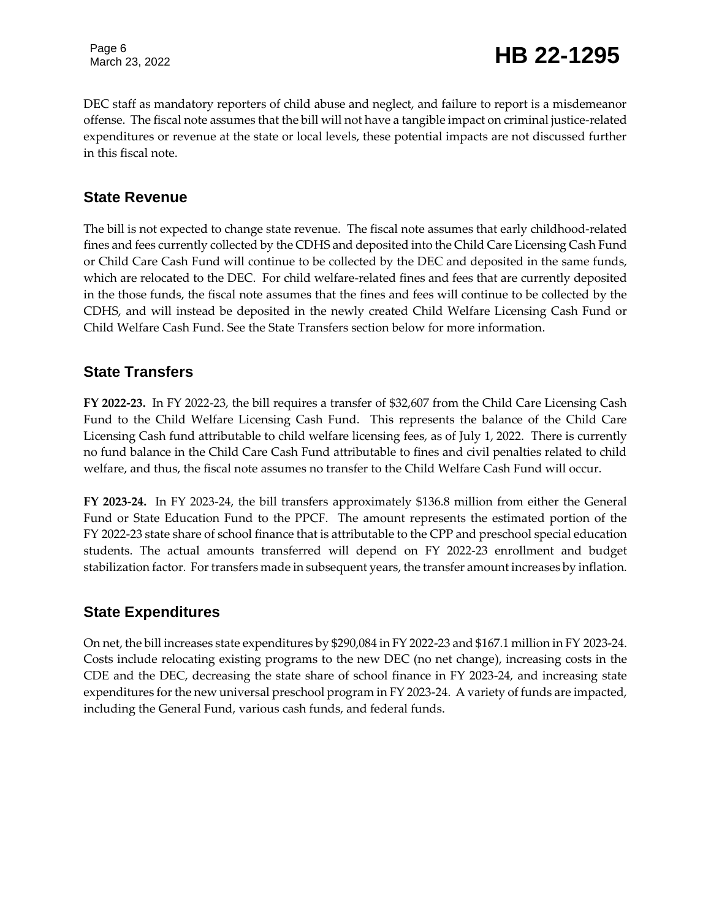Page 6

# March 23, 2022 **HB 22-1295**

DEC staff as mandatory reporters of child abuse and neglect, and failure to report is a misdemeanor offense. The fiscal note assumes that the bill will not have a tangible impact on criminal justice-related expenditures or revenue at the state or local levels, these potential impacts are not discussed further in this fiscal note.

#### **State Revenue**

The bill is not expected to change state revenue. The fiscal note assumes that early childhood-related fines and fees currently collected by the CDHS and deposited into the Child Care Licensing Cash Fund or Child Care Cash Fund will continue to be collected by the DEC and deposited in the same funds, which are relocated to the DEC. For child welfare-related fines and fees that are currently deposited in the those funds, the fiscal note assumes that the fines and fees will continue to be collected by the CDHS, and will instead be deposited in the newly created Child Welfare Licensing Cash Fund or Child Welfare Cash Fund. See the State Transfers section below for more information.

#### **State Transfers**

**FY 2022-23.** In FY 2022-23, the bill requires a transfer of \$32,607 from the Child Care Licensing Cash Fund to the Child Welfare Licensing Cash Fund. This represents the balance of the Child Care Licensing Cash fund attributable to child welfare licensing fees, as of July 1, 2022. There is currently no fund balance in the Child Care Cash Fund attributable to fines and civil penalties related to child welfare, and thus, the fiscal note assumes no transfer to the Child Welfare Cash Fund will occur.

**FY 2023-24.** In FY 2023-24, the bill transfers approximately \$136.8 million from either the General Fund or State Education Fund to the PPCF. The amount represents the estimated portion of the FY 2022-23 state share of school finance that is attributable to the CPP and preschool special education students. The actual amounts transferred will depend on FY 2022-23 enrollment and budget stabilization factor. For transfers made in subsequent years, the transfer amount increases by inflation.

#### **State Expenditures**

On net, the bill increases state expenditures by \$290,084 in FY 2022-23 and \$167.1 million in FY 2023-24. Costs include relocating existing programs to the new DEC (no net change), increasing costs in the CDE and the DEC, decreasing the state share of school finance in FY 2023-24, and increasing state expenditures for the new universal preschool program in FY 2023-24. A variety of funds are impacted, including the General Fund, various cash funds, and federal funds.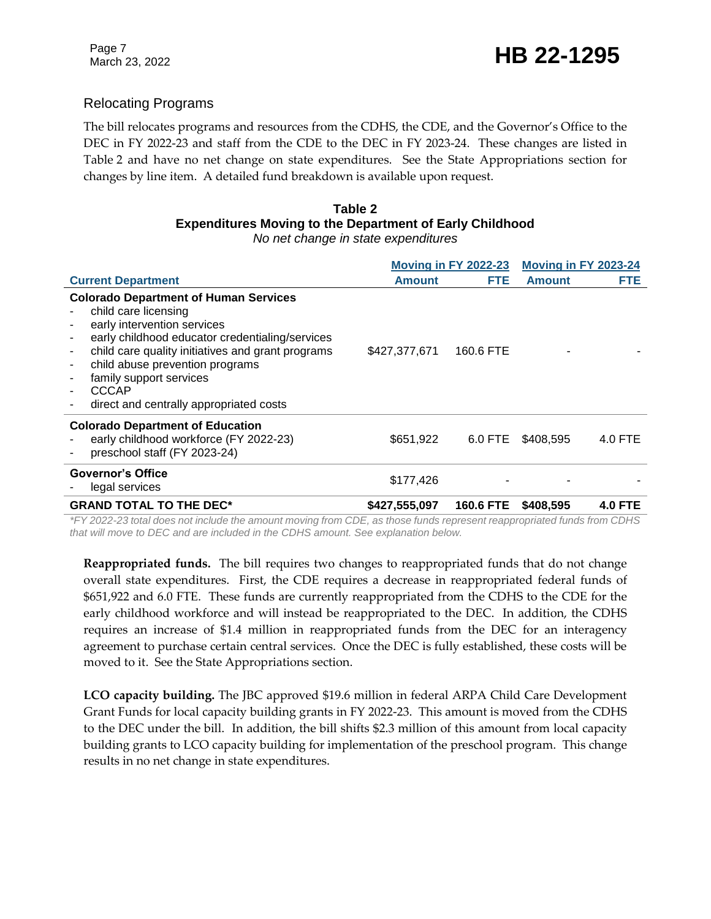#### Relocating Programs

The bill relocates programs and resources from the CDHS, the CDE, and the Governor's Office to the DEC in FY 2022-23 and staff from the CDE to the DEC in FY 2023-24. These changes are listed in Table 2 and have no net change on state expenditures. See the State Appropriations section for changes by line item. A detailed fund breakdown is available upon request.

#### **Table 2 Expenditures Moving to the Department of Early Childhood**

*No net change in state expenditures*

|                                                                                                                                                                                                                                                                                                                                                                                    | <b>Moving in FY 2022-23</b> |                  | <b>Moving in FY 2023-24</b> |                |
|------------------------------------------------------------------------------------------------------------------------------------------------------------------------------------------------------------------------------------------------------------------------------------------------------------------------------------------------------------------------------------|-----------------------------|------------------|-----------------------------|----------------|
| <b>Current Department</b>                                                                                                                                                                                                                                                                                                                                                          | <b>Amount</b>               | FTE.             | <b>Amount</b>               | FTE            |
| <b>Colorado Department of Human Services</b><br>child care licensing<br>early intervention services<br>early childhood educator credentialing/services<br>child care quality initiatives and grant programs<br>$\overline{\phantom{a}}$<br>child abuse prevention programs<br>$\blacksquare$<br>family support services<br><b>CCCAP</b><br>direct and centrally appropriated costs | \$427,377,671               | 160.6 FTE        |                             |                |
| <b>Colorado Department of Education</b><br>early childhood workforce (FY 2022-23)<br>preschool staff (FY 2023-24)                                                                                                                                                                                                                                                                  | \$651,922                   | 6.0 FTE          | \$408,595                   | 4.0 FTE        |
| <b>Governor's Office</b><br>legal services                                                                                                                                                                                                                                                                                                                                         | \$177,426                   |                  |                             |                |
| <b>GRAND TOTAL TO THE DEC*</b>                                                                                                                                                                                                                                                                                                                                                     | \$427,555,097               | <b>160.6 FTE</b> | \$408,595                   | <b>4.0 FTE</b> |

*\*FY 2022-23 total does not include the amount moving from CDE, as those funds represent reappropriated funds from CDHS that will move to DEC and are included in the CDHS amount. See explanation below.* 

**Reappropriated funds.** The bill requires two changes to reappropriated funds that do not change overall state expenditures. First, the CDE requires a decrease in reappropriated federal funds of \$651,922 and 6.0 FTE. These funds are currently reappropriated from the CDHS to the CDE for the early childhood workforce and will instead be reappropriated to the DEC. In addition, the CDHS requires an increase of \$1.4 million in reappropriated funds from the DEC for an interagency agreement to purchase certain central services. Once the DEC is fully established, these costs will be moved to it. See the State Appropriations section.

**LCO capacity building.** The JBC approved \$19.6 million in federal ARPA Child Care Development Grant Funds for local capacity building grants in FY 2022-23. This amount is moved from the CDHS to the DEC under the bill. In addition, the bill shifts \$2.3 million of this amount from local capacity building grants to LCO capacity building for implementation of the preschool program. This change results in no net change in state expenditures.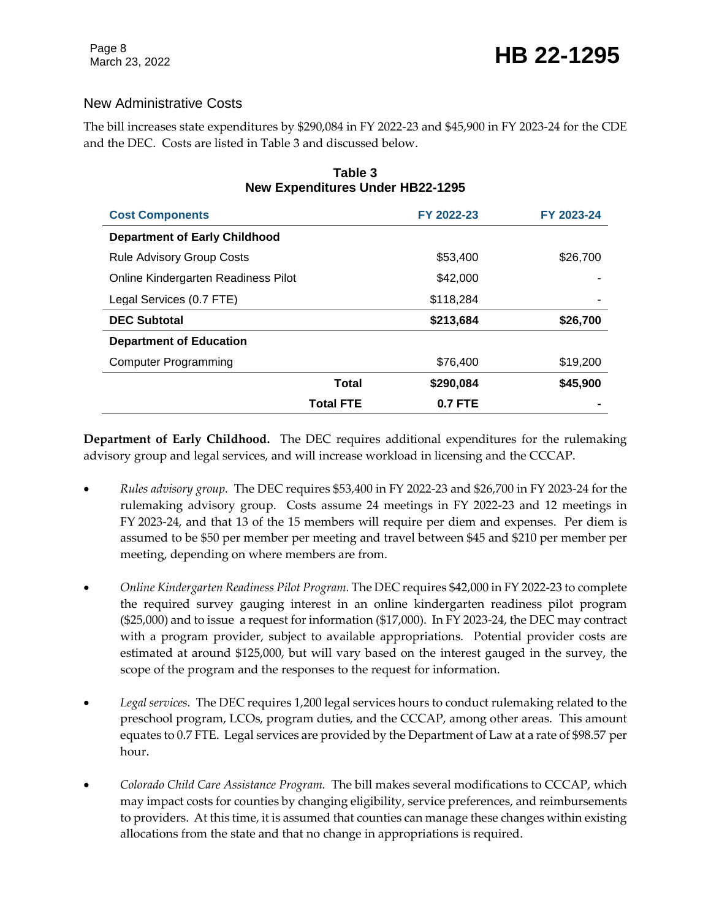#### New Administrative Costs

The bill increases state expenditures by \$290,084 in FY 2022-23 and \$45,900 in FY 2023-24 for the CDE and the DEC. Costs are listed in Table 3 and discussed below.

| <b>Cost Components</b>               | FY 2022-23 | FY 2023-24 |
|--------------------------------------|------------|------------|
| <b>Department of Early Childhood</b> |            |            |
| <b>Rule Advisory Group Costs</b>     | \$53,400   | \$26,700   |
| Online Kindergarten Readiness Pilot  | \$42,000   |            |
| Legal Services (0.7 FTE)             | \$118,284  |            |
| <b>DEC Subtotal</b>                  | \$213,684  | \$26,700   |
| <b>Department of Education</b>       |            |            |
| <b>Computer Programming</b>          | \$76,400   | \$19,200   |
| Total                                | \$290,084  | \$45,900   |
| <b>Total FTE</b>                     | 0.7 FTE    |            |

# **New Expenditures Under HB22-1295**

**Table 3**

**Department of Early Childhood.** The DEC requires additional expenditures for the rulemaking advisory group and legal services, and will increase workload in licensing and the CCCAP.

- *Rules advisory group.* The DEC requires \$53,400 in FY 2022-23 and \$26,700 in FY 2023-24 for the rulemaking advisory group. Costs assume 24 meetings in FY 2022-23 and 12 meetings in FY 2023-24, and that 13 of the 15 members will require per diem and expenses. Per diem is assumed to be \$50 per member per meeting and travel between \$45 and \$210 per member per meeting, depending on where members are from.
- *Online Kindergarten Readiness Pilot Program.* The DEC requires \$42,000 in FY 2022-23 to complete the required survey gauging interest in an online kindergarten readiness pilot program (\$25,000) and to issue a request for information (\$17,000). In FY 2023-24, the DEC may contract with a program provider, subject to available appropriations. Potential provider costs are estimated at around \$125,000, but will vary based on the interest gauged in the survey, the scope of the program and the responses to the request for information.
- *Legal services.* The DEC requires 1,200 legal services hours to conduct rulemaking related to the preschool program, LCOs, program duties, and the CCCAP, among other areas. This amount equates to 0.7 FTE. Legal services are provided by the Department of Law at a rate of \$98.57 per hour.
- *Colorado Child Care Assistance Program.* The bill makes several modifications to CCCAP, which may impact costs for counties by changing eligibility, service preferences, and reimbursements to providers. At this time, it is assumed that counties can manage these changes within existing allocations from the state and that no change in appropriations is required.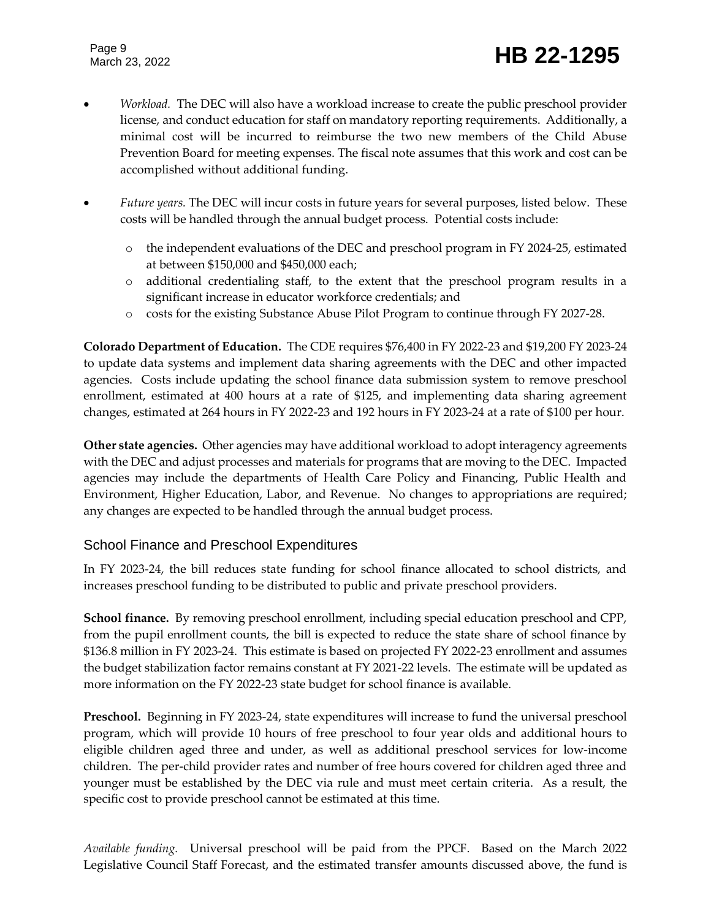# March 23, 2022 **HB 22-1295**

- *Workload.* The DEC will also have a workload increase to create the public preschool provider license, and conduct education for staff on mandatory reporting requirements. Additionally, a minimal cost will be incurred to reimburse the two new members of the Child Abuse Prevention Board for meeting expenses. The fiscal note assumes that this work and cost can be accomplished without additional funding.
- *Future years.* The DEC will incur costs in future years for several purposes, listed below. These costs will be handled through the annual budget process. Potential costs include:
	- o the independent evaluations of the DEC and preschool program in FY 2024-25, estimated at between \$150,000 and \$450,000 each;
	- o additional credentialing staff, to the extent that the preschool program results in a significant increase in educator workforce credentials; and
	- o costs for the existing Substance Abuse Pilot Program to continue through FY 2027-28.

**Colorado Department of Education.** The CDE requires \$76,400 in FY 2022-23 and \$19,200 FY 2023-24 to update data systems and implement data sharing agreements with the DEC and other impacted agencies. Costs include updating the school finance data submission system to remove preschool enrollment, estimated at 400 hours at a rate of \$125, and implementing data sharing agreement changes, estimated at 264 hours in FY 2022-23 and 192 hours in FY 2023-24 at a rate of \$100 per hour.

**Other state agencies.** Other agencies may have additional workload to adopt interagency agreements with the DEC and adjust processes and materials for programs that are moving to the DEC. Impacted agencies may include the departments of Health Care Policy and Financing, Public Health and Environment, Higher Education, Labor, and Revenue. No changes to appropriations are required; any changes are expected to be handled through the annual budget process.

#### School Finance and Preschool Expenditures

In FY 2023-24, the bill reduces state funding for school finance allocated to school districts, and increases preschool funding to be distributed to public and private preschool providers.

**School finance.** By removing preschool enrollment, including special education preschool and CPP, from the pupil enrollment counts, the bill is expected to reduce the state share of school finance by \$136.8 million in FY 2023-24. This estimate is based on projected FY 2022-23 enrollment and assumes the budget stabilization factor remains constant at FY 2021-22 levels. The estimate will be updated as more information on the FY 2022-23 state budget for school finance is available.

**Preschool.** Beginning in FY 2023-24, state expenditures will increase to fund the universal preschool program, which will provide 10 hours of free preschool to four year olds and additional hours to eligible children aged three and under, as well as additional preschool services for low-income children. The per-child provider rates and number of free hours covered for children aged three and younger must be established by the DEC via rule and must meet certain criteria. As a result, the specific cost to provide preschool cannot be estimated at this time.

*Available funding.* Universal preschool will be paid from the PPCF. Based on the March 2022 Legislative Council Staff Forecast, and the estimated transfer amounts discussed above, the fund is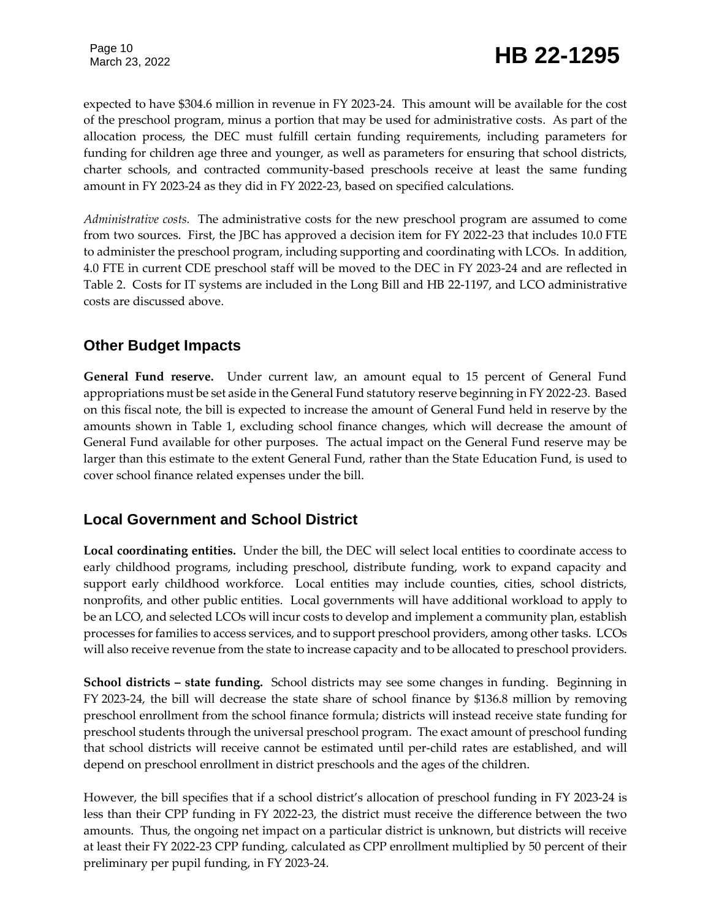expected to have \$304.6 million in revenue in FY 2023-24. This amount will be available for the cost of the preschool program, minus a portion that may be used for administrative costs. As part of the allocation process, the DEC must fulfill certain funding requirements, including parameters for funding for children age three and younger, as well as parameters for ensuring that school districts, charter schools, and contracted community-based preschools receive at least the same funding amount in FY 2023-24 as they did in FY 2022-23, based on specified calculations.

*Administrative costs.* The administrative costs for the new preschool program are assumed to come from two sources. First, the JBC has approved a decision item for FY 2022-23 that includes 10.0 FTE to administer the preschool program, including supporting and coordinating with LCOs. In addition, 4.0 FTE in current CDE preschool staff will be moved to the DEC in FY 2023-24 and are reflected in Table 2. Costs for IT systems are included in the Long Bill and HB 22-1197, and LCO administrative costs are discussed above.

### **Other Budget Impacts**

**General Fund reserve.** Under current law, an amount equal to 15 percent of General Fund appropriations must be set aside in the General Fund statutory reserve beginning in FY 2022-23. Based on this fiscal note, the bill is expected to increase the amount of General Fund held in reserve by the amounts shown in Table 1, excluding school finance changes, which will decrease the amount of General Fund available for other purposes. The actual impact on the General Fund reserve may be larger than this estimate to the extent General Fund, rather than the State Education Fund, is used to cover school finance related expenses under the bill.

### **Local Government and School District**

**Local coordinating entities.** Under the bill, the DEC will select local entities to coordinate access to early childhood programs, including preschool, distribute funding, work to expand capacity and support early childhood workforce. Local entities may include counties, cities, school districts, nonprofits, and other public entities. Local governments will have additional workload to apply to be an LCO, and selected LCOs will incur costs to develop and implement a community plan, establish processes for families to access services, and to support preschool providers, among other tasks. LCOs will also receive revenue from the state to increase capacity and to be allocated to preschool providers.

**School districts – state funding.** School districts may see some changes in funding. Beginning in FY 2023-24, the bill will decrease the state share of school finance by \$136.8 million by removing preschool enrollment from the school finance formula; districts will instead receive state funding for preschool students through the universal preschool program. The exact amount of preschool funding that school districts will receive cannot be estimated until per-child rates are established, and will depend on preschool enrollment in district preschools and the ages of the children.

However, the bill specifies that if a school district's allocation of preschool funding in FY 2023-24 is less than their CPP funding in FY 2022-23, the district must receive the difference between the two amounts. Thus, the ongoing net impact on a particular district is unknown, but districts will receive at least their FY 2022-23 CPP funding, calculated as CPP enrollment multiplied by 50 percent of their preliminary per pupil funding, in FY 2023-24.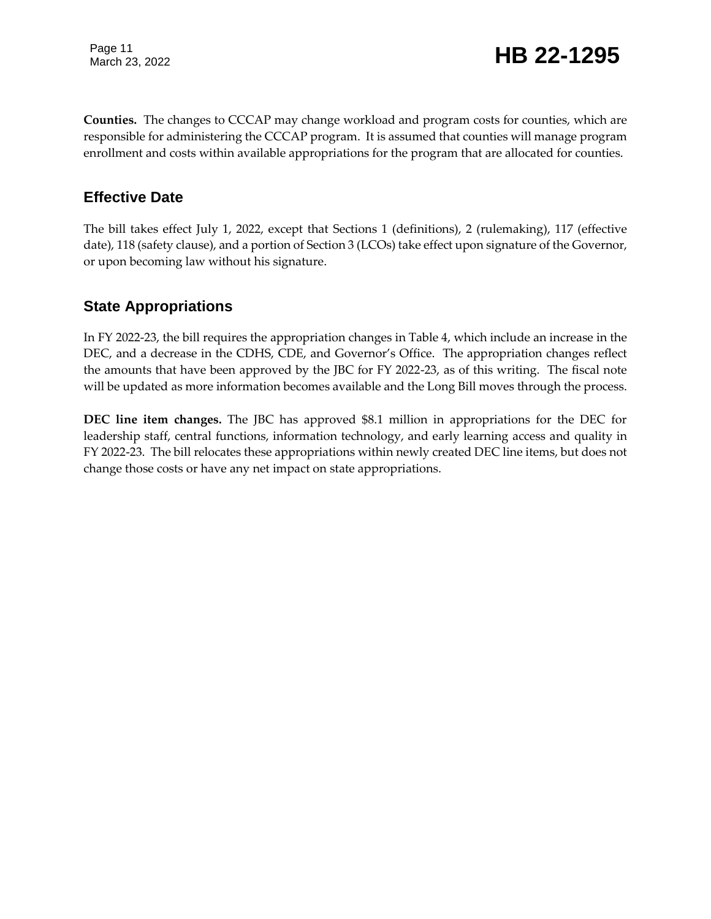**Counties.** The changes to CCCAP may change workload and program costs for counties, which are responsible for administering the CCCAP program. It is assumed that counties will manage program enrollment and costs within available appropriations for the program that are allocated for counties.

#### **Effective Date**

The bill takes effect July 1, 2022, except that Sections 1 (definitions), 2 (rulemaking), 117 (effective date), 118 (safety clause), and a portion of Section 3 (LCOs) take effect upon signature of the Governor, or upon becoming law without his signature.

#### **State Appropriations**

In FY 2022-23, the bill requires the appropriation changes in Table 4, which include an increase in the DEC, and a decrease in the CDHS, CDE, and Governor's Office. The appropriation changes reflect the amounts that have been approved by the JBC for FY 2022-23, as of this writing. The fiscal note will be updated as more information becomes available and the Long Bill moves through the process.

**DEC line item changes.** The JBC has approved \$8.1 million in appropriations for the DEC for leadership staff, central functions, information technology, and early learning access and quality in FY 2022-23. The bill relocates these appropriations within newly created DEC line items, but does not change those costs or have any net impact on state appropriations.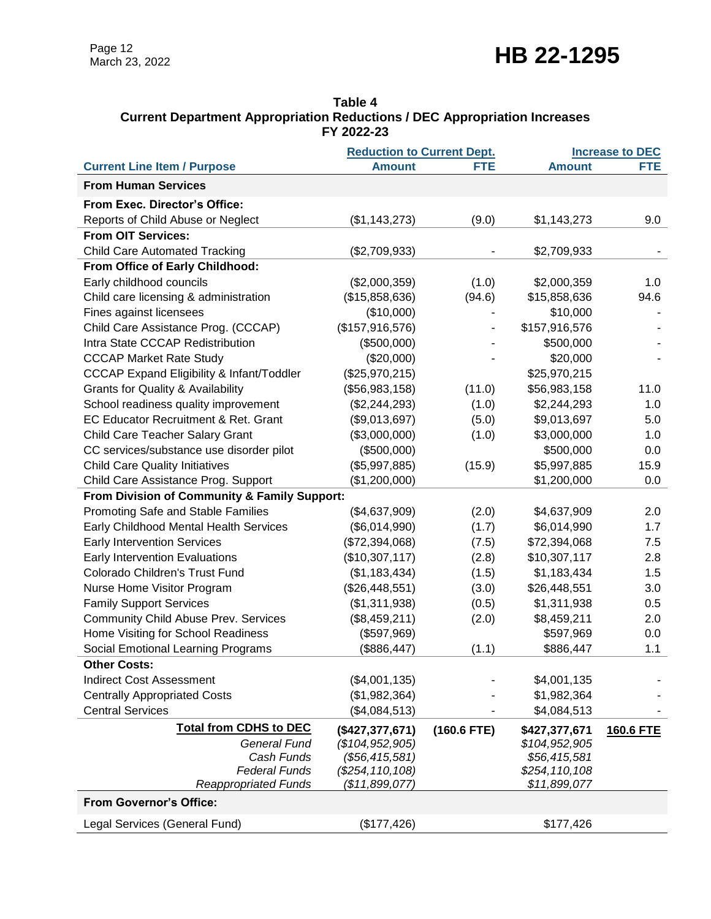| Table 4                                                                          |
|----------------------------------------------------------------------------------|
| <b>Current Department Appropriation Reductions / DEC Appropriation Increases</b> |
| FY 2022-23                                                                       |

|                                                      | <b>Reduction to Current Dept.</b> |               | <b>Increase to DEC</b> |            |
|------------------------------------------------------|-----------------------------------|---------------|------------------------|------------|
| <b>Current Line Item / Purpose</b>                   | <b>Amount</b>                     | <b>FTE</b>    | <b>Amount</b>          | <b>FTE</b> |
| <b>From Human Services</b>                           |                                   |               |                        |            |
| From Exec. Director's Office:                        |                                   |               |                        |            |
| Reports of Child Abuse or Neglect                    | (\$1,143,273)                     | (9.0)         | \$1,143,273            | 9.0        |
| <b>From OIT Services:</b>                            |                                   |               |                        |            |
| <b>Child Care Automated Tracking</b>                 | (\$2,709,933)                     |               | \$2,709,933            |            |
| From Office of Early Childhood:                      |                                   |               |                        |            |
| Early childhood councils                             | (\$2,000,359)                     | (1.0)         | \$2,000,359            | 1.0        |
| Child care licensing & administration                | (\$15,858,636)                    | (94.6)        | \$15,858,636           | 94.6       |
| Fines against licensees                              | (\$10,000)                        |               | \$10,000               |            |
| Child Care Assistance Prog. (CCCAP)                  | (\$157,916,576)                   |               | \$157,916,576          |            |
| Intra State CCCAP Redistribution                     | (\$500,000)                       |               | \$500,000              |            |
| <b>CCCAP Market Rate Study</b>                       | (\$20,000)                        |               | \$20,000               |            |
| <b>CCCAP Expand Eligibility &amp; Infant/Toddler</b> | (\$25,970,215)                    |               | \$25,970,215           |            |
| <b>Grants for Quality &amp; Availability</b>         | (\$56,983,158)                    | (11.0)        | \$56,983,158           | 11.0       |
| School readiness quality improvement                 | (\$2,244,293)                     | (1.0)         | \$2,244,293            | 1.0        |
| EC Educator Recruitment & Ret. Grant                 | (\$9,013,697)                     | (5.0)         | \$9,013,697            | 5.0        |
| Child Care Teacher Salary Grant                      | (\$3,000,000)                     | (1.0)         | \$3,000,000            | 1.0        |
| CC services/substance use disorder pilot             | (\$500,000)                       |               | \$500,000              | 0.0        |
| <b>Child Care Quality Initiatives</b>                | (\$5,997,885)                     | (15.9)        | \$5,997,885            | 15.9       |
| Child Care Assistance Prog. Support                  | (\$1,200,000)                     |               | \$1,200,000            | 0.0        |
| From Division of Community & Family Support:         |                                   |               |                        |            |
| Promoting Safe and Stable Families                   | (\$4,637,909)                     | (2.0)         | \$4,637,909            | 2.0        |
| Early Childhood Mental Health Services               | (\$6,014,990)                     | (1.7)         | \$6,014,990            | 1.7        |
| <b>Early Intervention Services</b>                   | (\$72,394,068)                    | (7.5)         | \$72,394,068           | 7.5        |
| <b>Early Intervention Evaluations</b>                | (\$10,307,117)                    | (2.8)         | \$10,307,117           | 2.8        |
| Colorado Children's Trust Fund                       | (\$1,183,434)                     | (1.5)         | \$1,183,434            | 1.5        |
| Nurse Home Visitor Program                           | (\$26,448,551)                    | (3.0)         | \$26,448,551           | 3.0        |
| <b>Family Support Services</b>                       | (\$1,311,938)                     | (0.5)         | \$1,311,938            | 0.5        |
| <b>Community Child Abuse Prev. Services</b>          | (\$8,459,211)                     | (2.0)         | \$8,459,211            | 2.0        |
| Home Visiting for School Readiness                   | (\$597,969)                       |               | \$597,969              | 0.0        |
| Social Emotional Learning Programs                   | (\$886,447)                       | (1.1)         | \$886,447              | 1.1        |
| <b>Other Costs:</b>                                  |                                   |               |                        |            |
| <b>Indirect Cost Assessment</b>                      | (\$4,001,135)                     |               | \$4,001,135            |            |
| <b>Centrally Appropriated Costs</b>                  | (\$1,982,364)                     |               | \$1,982,364            |            |
| <b>Central Services</b>                              | (\$4,084,513)                     |               | \$4,084,513            |            |
| <b>Total from CDHS to DEC</b>                        | (\$427,377,671)                   | $(160.6$ FTE) | \$427,377,671          | 160.6 FTE  |
| <b>General Fund</b>                                  | (\$104, 952, 905)                 |               | \$104,952,905          |            |
| Cash Funds                                           | (\$56,415,581)                    |               | \$56,415,581           |            |
| <b>Federal Funds</b>                                 | (\$254, 110, 108)                 |               | \$254,110,108          |            |
| <b>Reappropriated Funds</b>                          | (\$11,899,077)                    |               | \$11,899,077           |            |
| <b>From Governor's Office:</b>                       |                                   |               |                        |            |
| Legal Services (General Fund)                        | (\$177,426)                       |               | \$177,426              |            |